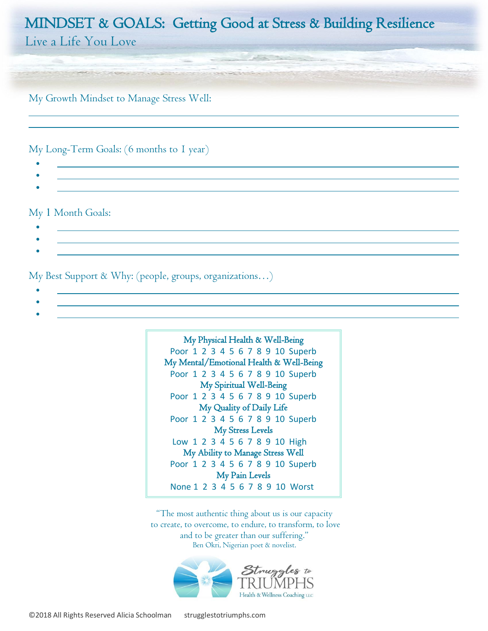Live a Life You Love

My Growth Mindset to Manage Stress Well:

My Long-Term Goals: (6 months to 1 year)

• •

•

l, l,

My 1 Month Goals:

• •

My Best Support & Why: (people, groups, organizations…)

- <u>• Andreas Andreas Andreas Andreas Andreas Andreas Andreas Andreas Andreas Andreas Andreas Andreas Andreas And</u>
- - •



"The most authentic thing about us is our capacity to create, to overcome, to endure, to transform, to love and to be greater than our suffering." Ben Okri, Nigerian poet & novelist.

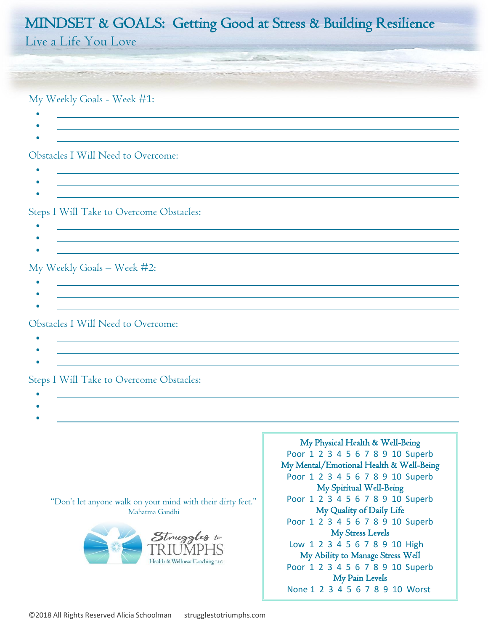Live a Life You Love

My Weekly Goals - Week #1:

- •
- 

#### Obstacles I Will Need to Overcome:

- •
- •
- •

Steps I Will Take to Overcome Obstacles:

- <u>• Andreas Andreas Andreas Andreas Andreas Andreas Andreas Andreas Andreas Andreas Andreas Andreas Andreas And</u>
- •

### My Weekly Goals – Week #2:

- - •

### Obstacles I Will Need to Overcome:

- •
- •
- •

## Steps I Will Take to Overcome Obstacles:

- •
- •

"Don't let anyone walk on your mind with their dirty feet." Mahatma Gandhi

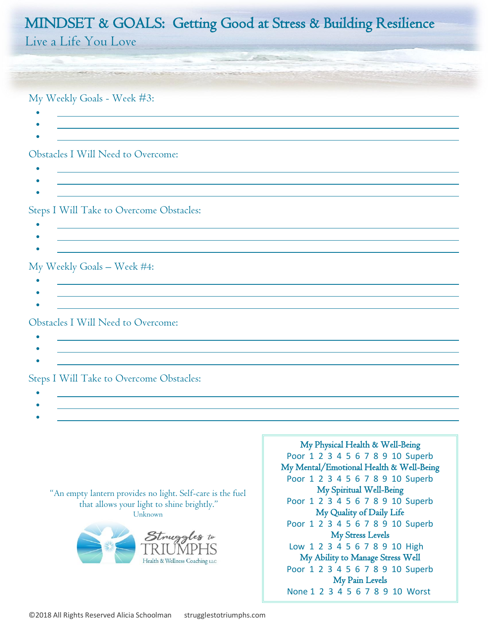Live a Life You Love

My Weekly Goals - Week #3:

- •
- •

### Obstacles I Will Need to Overcome:

- •
- 
- •

Steps I Will Take to Overcome Obstacles:

- •
- •

### My Weekly Goals – Week #4:

- $\mathcal{L}^{\mathcal{L}}(\mathcal{L}^{\mathcal{L}})$  and the set of  $\mathcal{L}^{\mathcal{L}}(\mathcal{L}^{\mathcal{L}})$  and  $\mathcal{L}^{\mathcal{L}}(\mathcal{L}^{\mathcal{L}})$  and  $\mathcal{L}^{\mathcal{L}}(\mathcal{L}^{\mathcal{L}})$
- •

### Obstacles I Will Need to Overcome:

- •
- •

## Steps I Will Take to Overcome Obstacles:

- •
- •

"An empty lantern provides no light. Self-care is the fuel that allows your light to shine brightly." Unknown

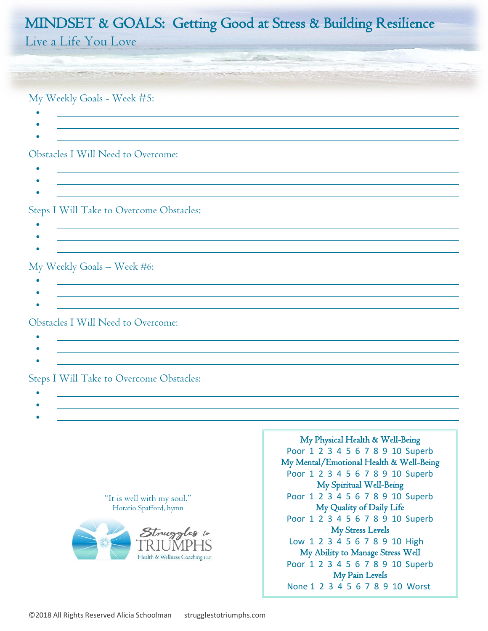Live a Life You Love

My Weekly Goals - Week #5:

- •
- •

#### Obstacles I Will Need to Overcome:

- -
- •

Steps I Will Take to Overcome Obstacles:

- •
- •

### My Weekly Goals – Week #6:

- $\mathcal{L}^{\mathcal{L}}(\mathcal{L}^{\mathcal{L}})$  and the set of  $\mathcal{L}^{\mathcal{L}}(\mathcal{L}^{\mathcal{L}})$  and  $\mathcal{L}^{\mathcal{L}}(\mathcal{L}^{\mathcal{L}})$  and  $\mathcal{L}^{\mathcal{L}}(\mathcal{L}^{\mathcal{L}})$
- •

### Obstacles I Will Need to Overcome:

- •
- •

## Steps I Will Take to Overcome Obstacles:

- •
- •

"It is well with my soul." Horatio Spafford, hymn